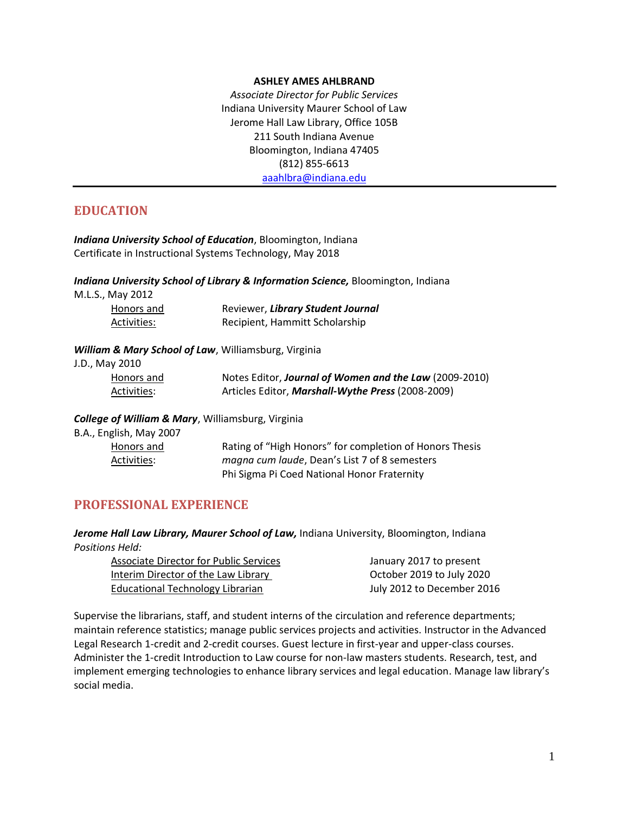#### **ASHLEY AMES AHLBRAND**

*Associate Director for Public Services* Indiana University Maurer School of Law Jerome Hall Law Library, Office 105B 211 South Indiana Avenue Bloomington, Indiana 47405 (812) 855-6613 [aaahlbra@indiana.edu](mailto:aaahlbra@indiana.edu)

# **EDUCATION**

*Indiana University School of Education*, Bloomington, Indiana Certificate in Instructional Systems Technology, May 2018

*Indiana University School of Library & Information Science,* Bloomington, Indiana

M.L.S., May 2012

Honors and Reviewer, *Library Student Journal* Activities: Recipient, Hammitt Scholarship

## *William & Mary School of Law*, Williamsburg, Virginia

J.D., May 2010

| Honors and  | Notes Editor, Journal of Women and the Law (2009-2010) |
|-------------|--------------------------------------------------------|
| Activities: | Articles Editor, Marshall-Wythe Press (2008-2009)      |

*College of William & Mary*, Williamsburg, Virginia

B.A., English, May 2007 Honors and Rating of "High Honors" for completion of Honors Thesis Activities: *magna cum laude*, Dean's List 7 of 8 semesters Phi Sigma Pi Coed National Honor Fraternity

## **PROFESSIONAL EXPERIENCE**

*Jerome Hall Law Library, Maurer School of Law,* Indiana University, Bloomington, Indiana *Positions Held:*

| January 2017 to present    |
|----------------------------|
| October 2019 to July 2020  |
| July 2012 to December 2016 |
|                            |

Supervise the librarians, staff, and student interns of the circulation and reference departments; maintain reference statistics; manage public services projects and activities. Instructor in the Advanced Legal Research 1-credit and 2-credit courses. Guest lecture in first-year and upper-class courses. Administer the 1-credit Introduction to Law course for non-law masters students. Research, test, and implement emerging technologies to enhance library services and legal education. Manage law library's social media.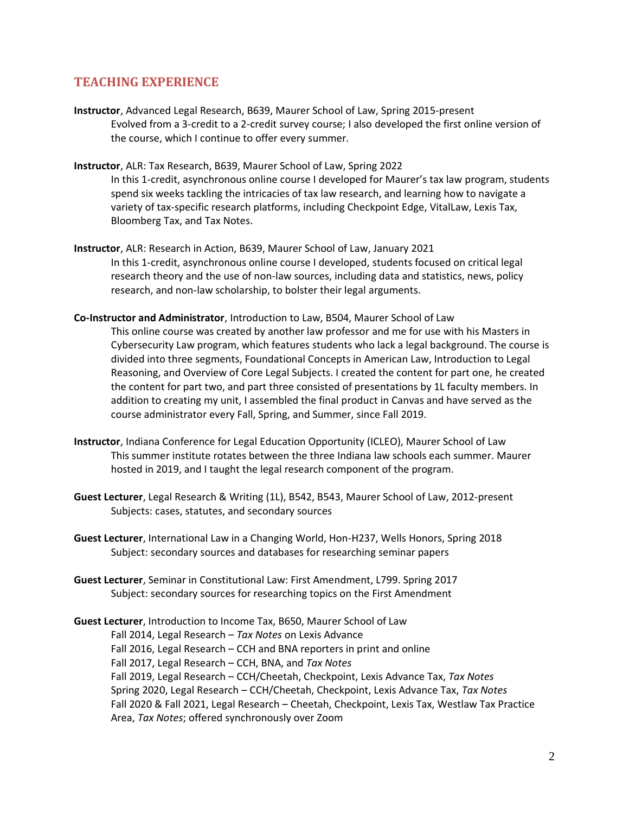## **TEACHING EXPERIENCE**

- **Instructor**, Advanced Legal Research, B639, Maurer School of Law, Spring 2015-present Evolved from a 3-credit to a 2-credit survey course; I also developed the first online version of the course, which I continue to offer every summer.
- **Instructor**, ALR: Tax Research, B639, Maurer School of Law, Spring 2022 In this 1-credit, asynchronous online course I developed for Maurer's tax law program, students spend six weeks tackling the intricacies of tax law research, and learning how to navigate a variety of tax-specific research platforms, including Checkpoint Edge, VitalLaw, Lexis Tax, Bloomberg Tax, and Tax Notes.
- **Instructor**, ALR: Research in Action, B639, Maurer School of Law, January 2021 In this 1-credit, asynchronous online course I developed, students focused on critical legal research theory and the use of non-law sources, including data and statistics, news, policy research, and non-law scholarship, to bolster their legal arguments.
- **Co-Instructor and Administrator**, Introduction to Law, B504, Maurer School of Law This online course was created by another law professor and me for use with his Masters in Cybersecurity Law program, which features students who lack a legal background. The course is divided into three segments, Foundational Concepts in American Law, Introduction to Legal Reasoning, and Overview of Core Legal Subjects. I created the content for part one, he created the content for part two, and part three consisted of presentations by 1L faculty members. In addition to creating my unit, I assembled the final product in Canvas and have served as the course administrator every Fall, Spring, and Summer, since Fall 2019.
- **Instructor**, Indiana Conference for Legal Education Opportunity (ICLEO), Maurer School of Law This summer institute rotates between the three Indiana law schools each summer. Maurer hosted in 2019, and I taught the legal research component of the program.
- **Guest Lecturer**, Legal Research & Writing (1L), B542, B543, Maurer School of Law, 2012-present Subjects: cases, statutes, and secondary sources
- **Guest Lecturer**, International Law in a Changing World, Hon-H237, Wells Honors, Spring 2018 Subject: secondary sources and databases for researching seminar papers
- **Guest Lecturer**, Seminar in Constitutional Law: First Amendment, L799. Spring 2017 Subject: secondary sources for researching topics on the First Amendment

**Guest Lecturer**, Introduction to Income Tax, B650, Maurer School of Law Fall 2014, Legal Research – *Tax Notes* on Lexis Advance Fall 2016, Legal Research – CCH and BNA reporters in print and online Fall 2017, Legal Research – CCH, BNA, and *Tax Notes* Fall 2019, Legal Research – CCH/Cheetah, Checkpoint, Lexis Advance Tax, *Tax Notes* Spring 2020, Legal Research – CCH/Cheetah, Checkpoint, Lexis Advance Tax, *Tax Notes* Fall 2020 & Fall 2021, Legal Research – Cheetah, Checkpoint, Lexis Tax, Westlaw Tax Practice Area, *Tax Notes*; offered synchronously over Zoom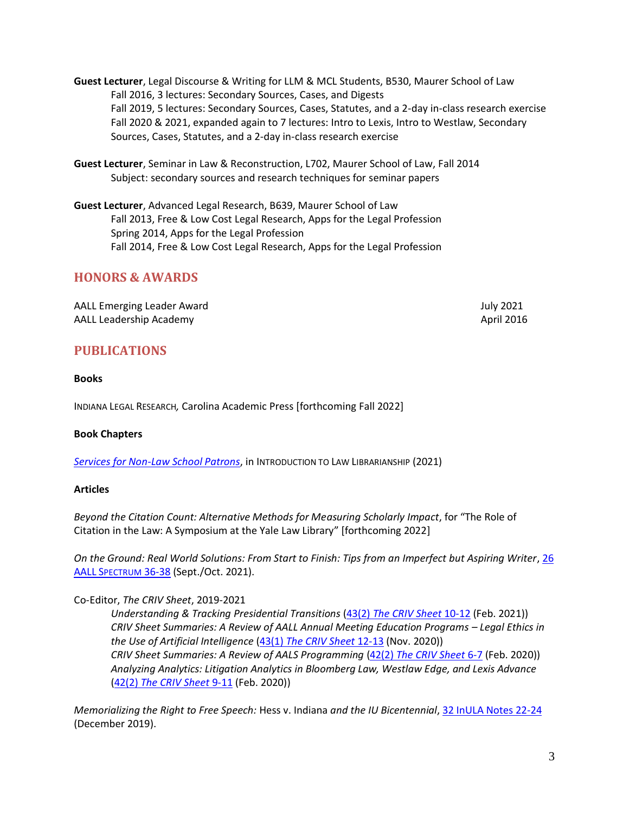- **Guest Lecturer**, Legal Discourse & Writing for LLM & MCL Students, B530, Maurer School of Law Fall 2016, 3 lectures: Secondary Sources, Cases, and Digests Fall 2019, 5 lectures: Secondary Sources, Cases, Statutes, and a 2-day in-class research exercise Fall 2020 & 2021, expanded again to 7 lectures: Intro to Lexis, Intro to Westlaw, Secondary Sources, Cases, Statutes, and a 2-day in-class research exercise
- **Guest Lecturer**, Seminar in Law & Reconstruction, L702, Maurer School of Law, Fall 2014 Subject: secondary sources and research techniques for seminar papers
- **Guest Lecturer**, Advanced Legal Research, B639, Maurer School of Law Fall 2013, Free & Low Cost Legal Research, Apps for the Legal Profession Spring 2014, Apps for the Legal Profession Fall 2014, Free & Low Cost Legal Research, Apps for the Legal Profession

# **HONORS & AWARDS**

AALL Emerging Leader Award July 2021 AALL Leadership Academy April 2016

## **PUBLICATIONS**

## **Books**

INDIANA LEGAL RESEARCH*,* Carolina Academic Press [forthcoming Fall 2022]

## **Book Chapters**

*[Services for Non-Law School Patrons](https://lawlibrarianship.pressbooks.com/chapter/working-with-non-law-school-patrons/)*, in INTRODUCTION TO LAW LIBRARIANSHIP (2021)

#### **Articles**

*Beyond the Citation Count: Alternative Methods for Measuring Scholarly Impact*, for "The Role of Citation in the Law: A Symposium at the Yale Law Library" [forthcoming 2022]

*On the Ground: Real World Solutions: From Start to Finish: Tips from an Imperfect but Aspiring Writer*, 26 AALL S[PECTRUM](https://aallspectrum.aallnet.org/html5/reader/production/default.aspx?pubname=&edid=3b8ae942-7b17-4a40-a01a-e204f4dd254b) 36-38 (Sept./Oct. 2021).

## Co-Editor, *The CRIV Sheet*, 2019-2021

*Understanding & Tracking Presidential Transitions* (43(2) *[The CRIV Sheet](https://www.aallnet.org/wp-content/uploads/2021/02/The-CRIV-Sheet_Vol.-43-No.-2-FINAL.pdf)* 10-12 (Feb. 2021)) *CRIV Sheet Summaries: A Review of AALL Annual Meeting Education Programs – Legal Ethics in the Use of Artificial Intelligence* (43(1) *[The CRIV Sheet](https://www.aallnet.org/wp-content/uploads/2020/10/The-CRIV-Sheet_Vol.-43-No.-1-FINAL.pdf)* 12-13 (Nov. 2020)) *CRIV Sheet Summaries: A Review of AALS Programming* (42(2) *[The CRIV Sheet](https://www.aallnet.org/wp-content/uploads/2020/01/The-CRIV-Sheet_Vol.-42-No.-2-V3-12320-FINAL-WEB.pdf)* 6-7 (Feb. 2020)) *Analyzing Analytics: Litigation Analytics in Bloomberg Law, Westlaw Edge, and Lexis Advance* (42(2) *[The CRIV Sheet](https://www.aallnet.org/wp-content/uploads/2020/01/The-CRIV-Sheet_Vol.-42-No.-2-V3-12320-FINAL-WEB.pdf)* 9-11 (Feb. 2020))

*Memorializing the Right to Free Speech:* Hess v. Indiana *and the IU Bicentennial*[, 32 InULA Notes 22-24](https://scholarworks.iu.edu/journals/index.php/inula/article/view/28701) (December 2019).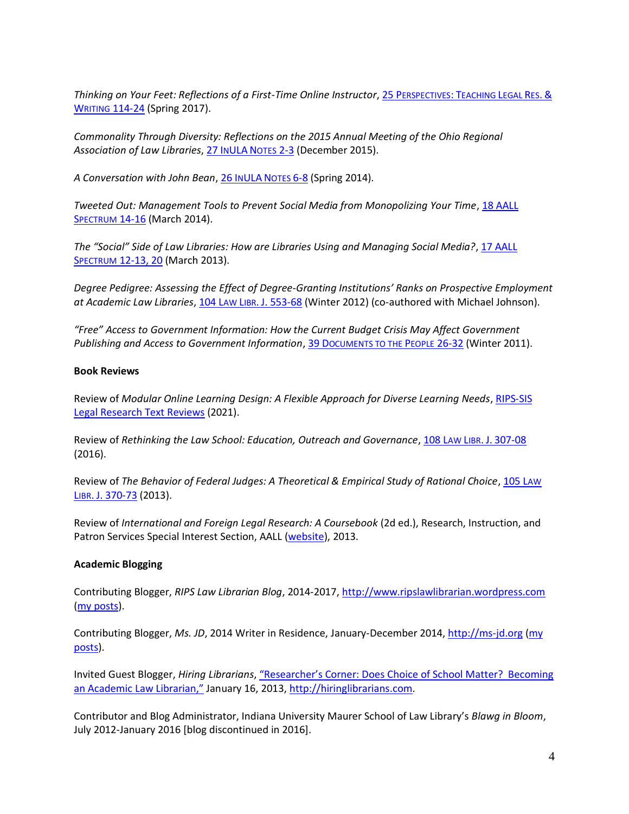*Thinking on Your Feet: Reflections of a First-Time Online Instructor*, 25 P[ERSPECTIVES](http://static.legalsolutions.thomsonreuters.com/static/pdf/perspectives/2017-spring/Perspectives_S17_Vol2.pdf): TEACHING LEGAL RES. & WRITING [114-24](http://static.legalsolutions.thomsonreuters.com/static/pdf/perspectives/2017-spring/Perspectives_S17_Vol2.pdf) (Spring 2017).

*Commonality Through Diversity: Reflections on the 2015 Annual Meeting of the Ohio Regional Association of Law Libraries*[, 27 I](https://scholarworks.iu.edu/journals/index.php/inula/article/view/20668/26730)NULA NOTES 2-3 (December 2015).

*A Conversation with John Bean*[, 26 I](https://scholarworks.iu.edu/journals/index.php/inula/article/view/12782/19140)NULA NOTES 6-8 (Spring 2014).

*Tweeted Out: Management Tools to Prevent Social Media from Monopolizing Your Time*, [18 AALL](http://www.aallnet.org/main-menu/Publications/spectrum/Archives/Vol-18/No-5/management-tools.pdf)  S[PECTRUM](http://www.aallnet.org/main-menu/Publications/spectrum/Archives/Vol-18/No-5/management-tools.pdf) 14-16 (March 2014).

*The "Social" Side of Law Libraries: How are Libraries Using and Managing Social Media?*, [17 AALL](http://www.repository.law.indiana.edu/facpub/804/) **SPECTRUM [12-13, 20](http://www.repository.law.indiana.edu/facpub/804/) (March 2013).** 

*Degree Pedigree: Assessing the Effect of Degree-Granting Institutions' Ranks on Prospective Employment at Academic Law Libraries*, 104 LAW LIBR. J. [553-68](http://www.repository.law.indiana.edu/facpub/771/) (Winter 2012) (co-authored with Michael Johnson).

*"Free" Access to Government Information: How the Current Budget Crisis May Affect Government Publishing and Access to Government Information*, 39 D[OCUMENTS TO THE](http://www.repository.law.indiana.edu/facpub/761/) PEOPLE 26-32 (Winter 2011).

#### **Book Reviews**

Review of *Modular Online Learning Design: A Flexible Approach for Diverse Learning Needs*[, RIPS-SIS](https://www.aallnet.org/ripssis/wp-content/uploads/sites/15/2021/07/ModularOnlineLearningDesign-2021.pdf)  [Legal Research Text Reviews](https://www.aallnet.org/ripssis/wp-content/uploads/sites/15/2021/07/ModularOnlineLearningDesign-2021.pdf) (2021).

Review of *Rethinking the Law School: Education, Outreach and Governance*, 108 LAW LIBR. J. [307-08](https://www.aallnet.org/mm/Publications/llj/LLJ-Archives/vol-108/no-2/2016-13.pdf) (2016).

Review of *The Behavior of Federal Judges: A Theoretical & Empirical Study of Rational Choice*, [105 L](http://www.aallnet.org/main-menu/Publications/llj/LLJ-Archives/Vol-105/no-3/2013-18.pdf)AW LIBR. [J. 370-73](http://www.aallnet.org/main-menu/Publications/llj/LLJ-Archives/Vol-105/no-3/2013-18.pdf) (2013).

Review of *International and Foreign Legal Research: A Coursebook* (2d ed.), Research, Instruction, and Patron Services Special Interest Section, AALL [\(website\)](http://www.aallnet.org/sections/rips/research/Legal-Research-Text-Annotated-Bibliography/Hoffman-Rumsey.pdf), 2013.

## **Academic Blogging**

Contributing Blogger, *RIPS Law Librarian Blog*, 2014-2017, [http://www.ripslawlibrarian.wordpress.com](http://www.ripslawlibrarian.wordpress.com/) [\(my posts\)](http://ripslawlibrarian.wordpress.com/author/ashleyahlbrand/).

Contributing Blogger, *Ms. JD*, 2014 Writer in Residence, January-December 2014, [http://ms-jd.org](http://ms-jd.org/) [\(my](http://ms-jd.org/profile/Ashley%20Ahlbrand)  [posts\)](http://ms-jd.org/profile/Ashley%20Ahlbrand).

Invited Guest Blogger, *Hiring Librarians*, ["Researcher's Corner: Does Choice of School Matter? Becoming](http://hiringlibrarians.com/2013/01/16/researchers-corner-does-choice-of-school-matter-becoming-an-academic-law-librarian/)  [an Academic Law Librarian,"](http://hiringlibrarians.com/2013/01/16/researchers-corner-does-choice-of-school-matter-becoming-an-academic-law-librarian/) January 16, 2013, [http://hiringlibrarians.com.](http://hiringlibrarians.com/)

Contributor and Blog Administrator, Indiana University Maurer School of Law Library's *Blawg in Bloom*, July 2012-January 2016 [blog discontinued in 2016].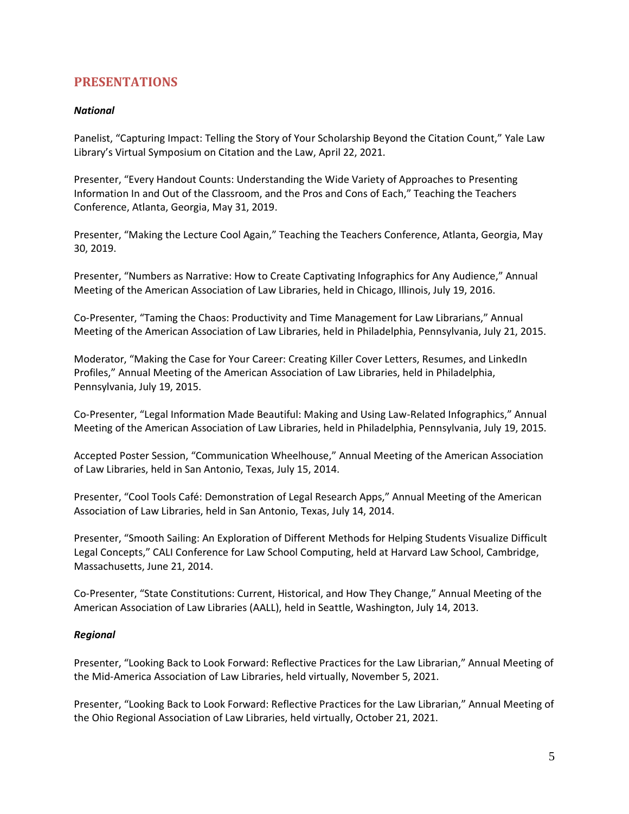## **PRESENTATIONS**

## *National*

Panelist, "Capturing Impact: Telling the Story of Your Scholarship Beyond the Citation Count," Yale Law Library's Virtual Symposium on Citation and the Law, April 22, 2021.

Presenter, "Every Handout Counts: Understanding the Wide Variety of Approaches to Presenting Information In and Out of the Classroom, and the Pros and Cons of Each," Teaching the Teachers Conference, Atlanta, Georgia, May 31, 2019.

Presenter, "Making the Lecture Cool Again," Teaching the Teachers Conference, Atlanta, Georgia, May 30, 2019.

Presenter, "Numbers as Narrative: How to Create Captivating Infographics for Any Audience," Annual Meeting of the American Association of Law Libraries, held in Chicago, Illinois, July 19, 2016.

Co-Presenter, "Taming the Chaos: Productivity and Time Management for Law Librarians," Annual Meeting of the American Association of Law Libraries, held in Philadelphia, Pennsylvania, July 21, 2015.

Moderator, "Making the Case for Your Career: Creating Killer Cover Letters, Resumes, and LinkedIn Profiles," Annual Meeting of the American Association of Law Libraries, held in Philadelphia, Pennsylvania, July 19, 2015.

Co-Presenter, "Legal Information Made Beautiful: Making and Using Law-Related Infographics," Annual Meeting of the American Association of Law Libraries, held in Philadelphia, Pennsylvania, July 19, 2015.

Accepted Poster Session, "Communication Wheelhouse," Annual Meeting of the American Association of Law Libraries, held in San Antonio, Texas, July 15, 2014.

Presenter, "Cool Tools Café: Demonstration of Legal Research Apps," Annual Meeting of the American Association of Law Libraries, held in San Antonio, Texas, July 14, 2014.

Presenter, "Smooth Sailing: An Exploration of Different Methods for Helping Students Visualize Difficult Legal Concepts," CALI Conference for Law School Computing, held at Harvard Law School, Cambridge, Massachusetts, June 21, 2014.

Co-Presenter, "State Constitutions: Current, Historical, and How They Change," Annual Meeting of the American Association of Law Libraries (AALL), held in Seattle, Washington, July 14, 2013.

## *Regional*

Presenter, "Looking Back to Look Forward: Reflective Practices for the Law Librarian," Annual Meeting of the Mid-America Association of Law Libraries, held virtually, November 5, 2021.

Presenter, "Looking Back to Look Forward: Reflective Practices for the Law Librarian," Annual Meeting of the Ohio Regional Association of Law Libraries, held virtually, October 21, 2021.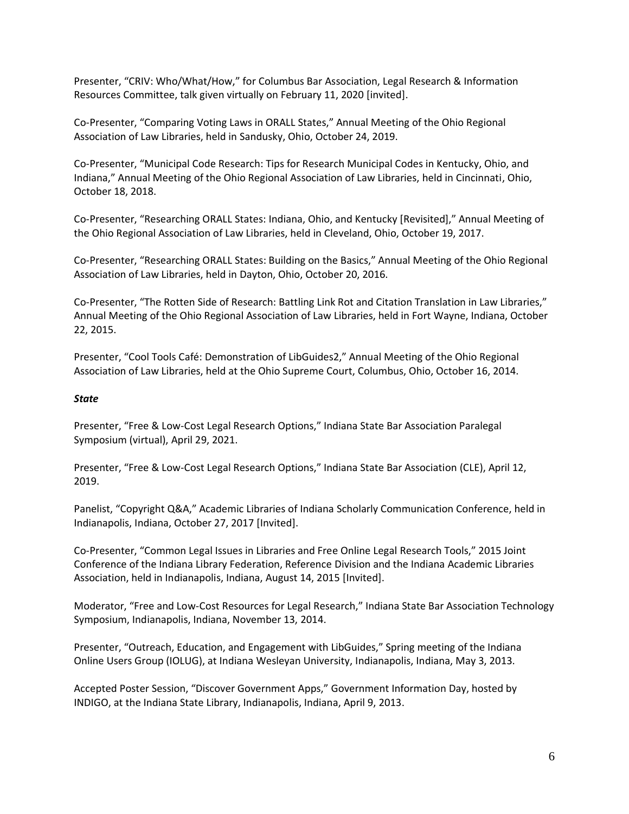Presenter, "CRIV: Who/What/How," for Columbus Bar Association, Legal Research & Information Resources Committee, talk given virtually on February 11, 2020 [invited].

Co-Presenter, "Comparing Voting Laws in ORALL States," Annual Meeting of the Ohio Regional Association of Law Libraries, held in Sandusky, Ohio, October 24, 2019.

Co-Presenter, "Municipal Code Research: Tips for Research Municipal Codes in Kentucky, Ohio, and Indiana," Annual Meeting of the Ohio Regional Association of Law Libraries, held in Cincinnati, Ohio, October 18, 2018.

Co-Presenter, "Researching ORALL States: Indiana, Ohio, and Kentucky [Revisited]," Annual Meeting of the Ohio Regional Association of Law Libraries, held in Cleveland, Ohio, October 19, 2017.

Co-Presenter, "Researching ORALL States: Building on the Basics," Annual Meeting of the Ohio Regional Association of Law Libraries, held in Dayton, Ohio, October 20, 2016.

Co-Presenter, "The Rotten Side of Research: Battling Link Rot and Citation Translation in Law Libraries," Annual Meeting of the Ohio Regional Association of Law Libraries, held in Fort Wayne, Indiana, October 22, 2015.

Presenter, "Cool Tools Café: Demonstration of LibGuides2," Annual Meeting of the Ohio Regional Association of Law Libraries, held at the Ohio Supreme Court, Columbus, Ohio, October 16, 2014.

#### *State*

Presenter, "Free & Low-Cost Legal Research Options," Indiana State Bar Association Paralegal Symposium (virtual), April 29, 2021.

Presenter, "Free & Low-Cost Legal Research Options," Indiana State Bar Association (CLE), April 12, 2019.

Panelist, "Copyright Q&A," Academic Libraries of Indiana Scholarly Communication Conference, held in Indianapolis, Indiana, October 27, 2017 [Invited].

Co-Presenter, "Common Legal Issues in Libraries and Free Online Legal Research Tools," 2015 Joint Conference of the Indiana Library Federation, Reference Division and the Indiana Academic Libraries Association, held in Indianapolis, Indiana, August 14, 2015 [Invited].

Moderator, "Free and Low-Cost Resources for Legal Research," Indiana State Bar Association Technology Symposium, Indianapolis, Indiana, November 13, 2014.

Presenter, "Outreach, Education, and Engagement with LibGuides," Spring meeting of the Indiana Online Users Group (IOLUG), at Indiana Wesleyan University, Indianapolis, Indiana, May 3, 2013.

Accepted Poster Session, "Discover Government Apps," Government Information Day, hosted by INDIGO, at the Indiana State Library, Indianapolis, Indiana, April 9, 2013.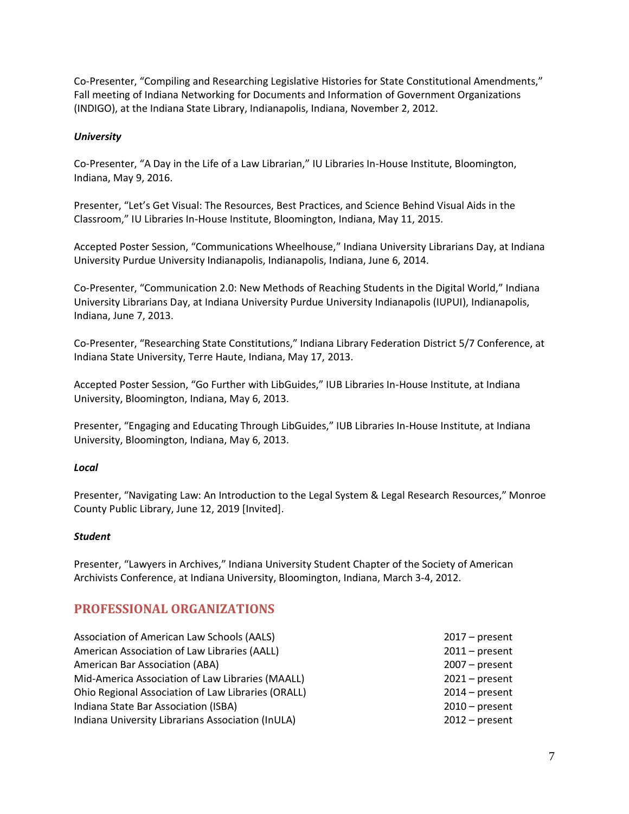Co-Presenter, "Compiling and Researching Legislative Histories for State Constitutional Amendments," Fall meeting of Indiana Networking for Documents and Information of Government Organizations (INDIGO), at the Indiana State Library, Indianapolis, Indiana, November 2, 2012.

## *University*

Co-Presenter, "A Day in the Life of a Law Librarian," IU Libraries In-House Institute, Bloomington, Indiana, May 9, 2016.

Presenter, "Let's Get Visual: The Resources, Best Practices, and Science Behind Visual Aids in the Classroom," IU Libraries In-House Institute, Bloomington, Indiana, May 11, 2015.

Accepted Poster Session, "Communications Wheelhouse," Indiana University Librarians Day, at Indiana University Purdue University Indianapolis, Indianapolis, Indiana, June 6, 2014.

Co-Presenter, "Communication 2.0: New Methods of Reaching Students in the Digital World," Indiana University Librarians Day, at Indiana University Purdue University Indianapolis (IUPUI), Indianapolis, Indiana, June 7, 2013.

Co-Presenter, "Researching State Constitutions," Indiana Library Federation District 5/7 Conference, at Indiana State University, Terre Haute, Indiana, May 17, 2013.

Accepted Poster Session, "Go Further with LibGuides," IUB Libraries In-House Institute, at Indiana University, Bloomington, Indiana, May 6, 2013.

Presenter, "Engaging and Educating Through LibGuides," IUB Libraries In-House Institute, at Indiana University, Bloomington, Indiana, May 6, 2013.

## *Local*

Presenter, "Navigating Law: An Introduction to the Legal System & Legal Research Resources," Monroe County Public Library, June 12, 2019 [Invited].

## *Student*

Presenter, "Lawyers in Archives," Indiana University Student Chapter of the Society of American Archivists Conference, at Indiana University, Bloomington, Indiana, March 3-4, 2012.

## **PROFESSIONAL ORGANIZATIONS**

| Association of American Law Schools (AALS)         | $2017$ – present |
|----------------------------------------------------|------------------|
| American Association of Law Libraries (AALL)       | $2011$ – present |
| American Bar Association (ABA)                     | $2007 - present$ |
| Mid-America Association of Law Libraries (MAALL)   | $2021$ – present |
| Ohio Regional Association of Law Libraries (ORALL) | $2014$ – present |
| Indiana State Bar Association (ISBA)               | $2010$ – present |
| Indiana University Librarians Association (InULA)  | $2012$ – present |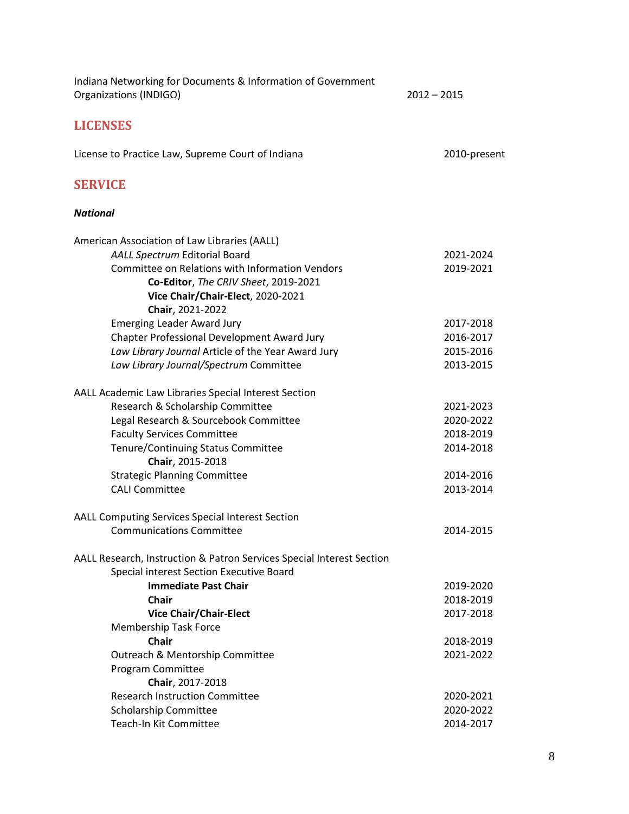| Indiana Networking for Documents & Information of Government<br>Organizations (INDIGO)                                                                                                                                                                                  | $2012 - 2015$                                                 |
|-------------------------------------------------------------------------------------------------------------------------------------------------------------------------------------------------------------------------------------------------------------------------|---------------------------------------------------------------|
| <b>LICENSES</b>                                                                                                                                                                                                                                                         |                                                               |
| License to Practice Law, Supreme Court of Indiana                                                                                                                                                                                                                       | 2010-present                                                  |
| <b>SERVICE</b>                                                                                                                                                                                                                                                          |                                                               |
| <b>National</b>                                                                                                                                                                                                                                                         |                                                               |
| American Association of Law Libraries (AALL)<br>AALL Spectrum Editorial Board<br>Committee on Relations with Information Vendors<br>Co-Editor, The CRIV Sheet, 2019-2021<br>Vice Chair/Chair-Elect, 2020-2021                                                           | 2021-2024<br>2019-2021                                        |
| Chair, 2021-2022<br><b>Emerging Leader Award Jury</b><br>Chapter Professional Development Award Jury<br>Law Library Journal Article of the Year Award Jury<br>Law Library Journal/Spectrum Committee                                                                    | 2017-2018<br>2016-2017<br>2015-2016<br>2013-2015              |
| AALL Academic Law Libraries Special Interest Section<br>Research & Scholarship Committee<br>Legal Research & Sourcebook Committee<br><b>Faculty Services Committee</b><br>Tenure/Continuing Status Committee<br>Chair, 2015-2018<br><b>Strategic Planning Committee</b> | 2021-2023<br>2020-2022<br>2018-2019<br>2014-2018<br>2014-2016 |
| <b>CALI Committee</b>                                                                                                                                                                                                                                                   | 2013-2014                                                     |
| AALL Computing Services Special Interest Section<br><b>Communications Committee</b>                                                                                                                                                                                     | 2014-2015                                                     |
| AALL Research, Instruction & Patron Services Special Interest Section<br>Special interest Section Executive Board                                                                                                                                                       |                                                               |
| <b>Immediate Past Chair</b><br>Chair<br><b>Vice Chair/Chair-Elect</b><br><b>Membership Task Force</b>                                                                                                                                                                   | 2019-2020<br>2018-2019<br>2017-2018                           |
| <b>Chair</b><br>Outreach & Mentorship Committee<br>Program Committee<br>Chair, 2017-2018                                                                                                                                                                                | 2018-2019<br>2021-2022                                        |
| <b>Research Instruction Committee</b><br>Scholarship Committee<br>Teach-In Kit Committee                                                                                                                                                                                | 2020-2021<br>2020-2022<br>2014-2017                           |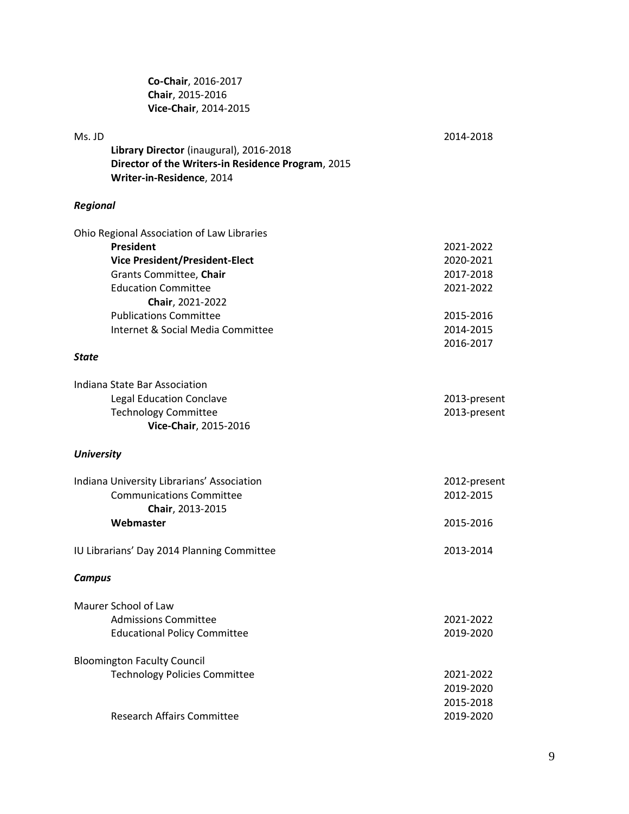**Co-Chair**, 2016-2017 **Chair**, 2015-2016 **Vice-Chair**, 2014-2015

| Ms. JD            | Library Director (inaugural), 2016-2018                                         | 2014-2018    |
|-------------------|---------------------------------------------------------------------------------|--------------|
|                   | Director of the Writers-in Residence Program, 2015<br>Writer-in-Residence, 2014 |              |
| <b>Regional</b>   |                                                                                 |              |
|                   | Ohio Regional Association of Law Libraries                                      |              |
|                   | President                                                                       | 2021-2022    |
|                   | <b>Vice President/President-Elect</b>                                           | 2020-2021    |
|                   | Grants Committee, Chair                                                         | 2017-2018    |
|                   | <b>Education Committee</b>                                                      | 2021-2022    |
|                   | Chair, 2021-2022                                                                |              |
|                   | <b>Publications Committee</b>                                                   | 2015-2016    |
|                   | Internet & Social Media Committee                                               | 2014-2015    |
|                   |                                                                                 | 2016-2017    |
| <b>State</b>      |                                                                                 |              |
|                   | Indiana State Bar Association                                                   |              |
|                   | <b>Legal Education Conclave</b>                                                 | 2013-present |
|                   | <b>Technology Committee</b>                                                     | 2013-present |
|                   | Vice-Chair, 2015-2016                                                           |              |
| <b>University</b> |                                                                                 |              |
|                   | Indiana University Librarians' Association                                      | 2012-present |
|                   | <b>Communications Committee</b>                                                 | 2012-2015    |
|                   | Chair, 2013-2015                                                                |              |
|                   | Webmaster                                                                       | 2015-2016    |
|                   |                                                                                 |              |
|                   | IU Librarians' Day 2014 Planning Committee                                      | 2013-2014    |
| <b>Campus</b>     |                                                                                 |              |
|                   | Maurer School of Law                                                            |              |
|                   | <b>Admissions Committee</b>                                                     | 2021-2022    |
|                   | <b>Educational Policy Committee</b>                                             | 2019-2020    |
|                   |                                                                                 |              |
|                   | <b>Bloomington Faculty Council</b>                                              |              |
|                   | <b>Technology Policies Committee</b>                                            | 2021-2022    |
|                   |                                                                                 | 2019-2020    |
|                   |                                                                                 | 2015-2018    |
|                   | <b>Research Affairs Committee</b>                                               | 2019-2020    |